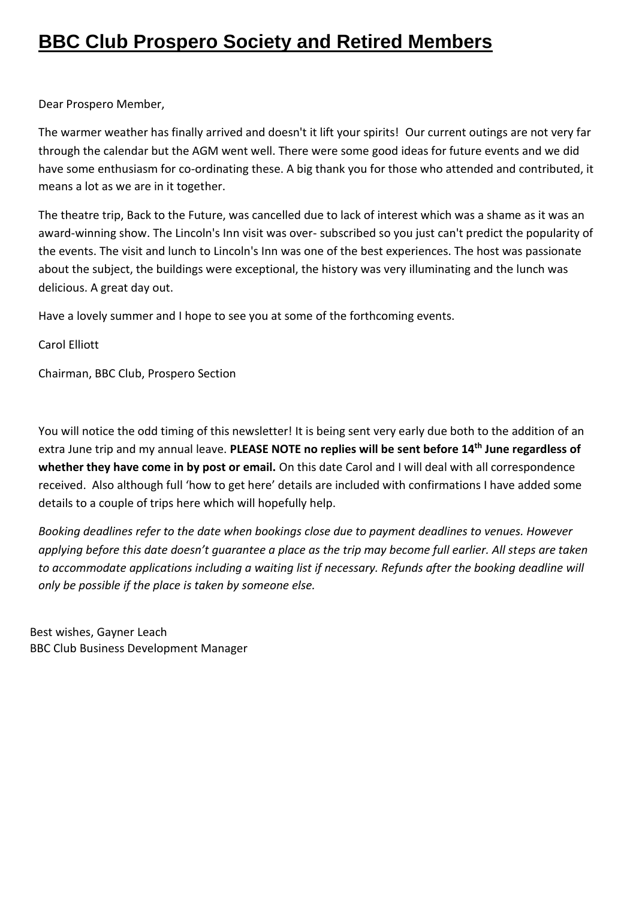## **BBC Club Prospero Society and Retired Members**

Dear Prospero Member,

The warmer weather has finally arrived and doesn't it lift your spirits! Our current outings are not very far through the calendar but the AGM went well. There were some good ideas for future events and we did have some enthusiasm for co-ordinating these. A big thank you for those who attended and contributed, it means a lot as we are in it together.

The theatre trip, Back to the Future, was cancelled due to lack of interest which was a shame as it was an award-winning show. The Lincoln's Inn visit was over- subscribed so you just can't predict the popularity of the events. The visit and lunch to Lincoln's Inn was one of the best experiences. The host was passionate about the subject, the buildings were exceptional, the history was very illuminating and the lunch was delicious. A great day out.

Have a lovely summer and I hope to see you at some of the forthcoming events.

Carol Elliott

Chairman, BBC Club, Prospero Section

You will notice the odd timing of this newsletter! It is being sent very early due both to the addition of an extra June trip and my annual leave. **PLEASE NOTE no replies will be sent before 14th June regardless of whether they have come in by post or email.** On this date Carol and I will deal with all correspondence received. Also although full 'how to get here' details are included with confirmations I have added some details to a couple of trips here which will hopefully help.

*Booking deadlines refer to the date when bookings close due to payment deadlines to venues. However applying before this date doesn't guarantee a place as the trip may become full earlier. All steps are taken to accommodate applications including a waiting list if necessary. Refunds after the booking deadline will only be possible if the place is taken by someone else.*

Best wishes, Gayner Leach BBC Club Business Development Manager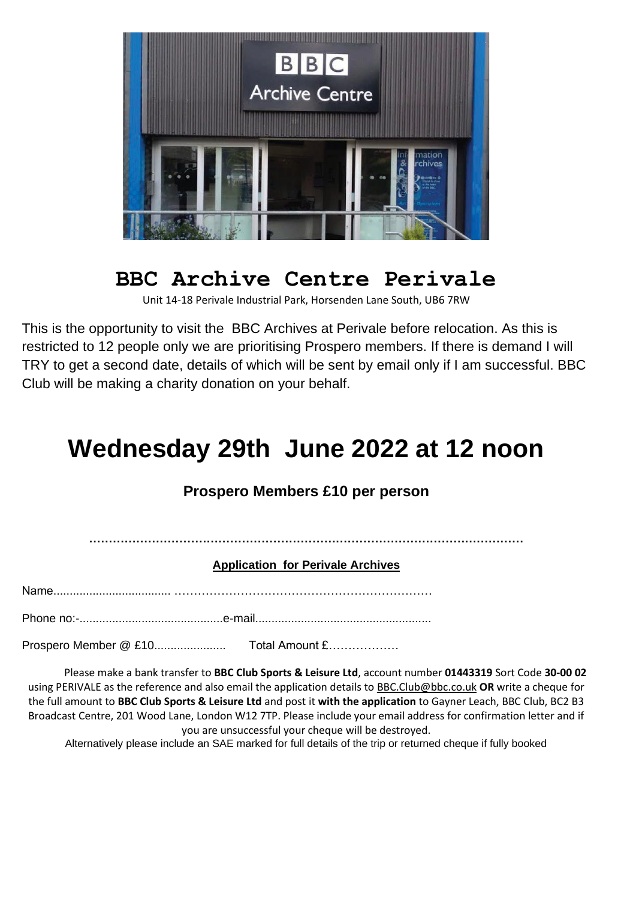

## **BBC Archive Centre Perivale**

Unit 14-18 Perivale Industrial Park, Horsenden Lane South, UB6 7RW

This is the opportunity to visit the BBC Archives at Perivale before relocation. As this is restricted to 12 people only we are prioritising Prospero members. If there is demand I will TRY to get a second date, details of which will be sent by email only if I am successful. BBC Club will be making a charity donation on your behalf.

## **Wednesday 29th June 2022 at 12 noon**

#### **Prospero Members £10 per person**

**…………………………………………………………………………………………………**

#### **Application for Perivale Archives**

Name.................................... …………………………………………………………

Phone no:-............................................e-mail......................................................

Prospero Member @ £10...................... Total Amount £………………

Please make a bank transfer to **BBC Club Sports & Leisure Ltd**, account number **01443319** Sort Code **30-00 02** using PERIVALE as the reference and also email the application details to [BBC.Club@bbc.co.uk](mailto:BBC.Club@bbc.co.uk) **OR** write a cheque for the full amount to **BBC Club Sports & Leisure Ltd** and post it **with the application** to Gayner Leach, BBC Club, BC2 B3 Broadcast Centre, 201 Wood Lane, London W12 7TP. Please include your email address for confirmation letter and if you are unsuccessful your cheque will be destroyed.

Alternatively please include an SAE marked for full details of the trip or returned cheque if fully booked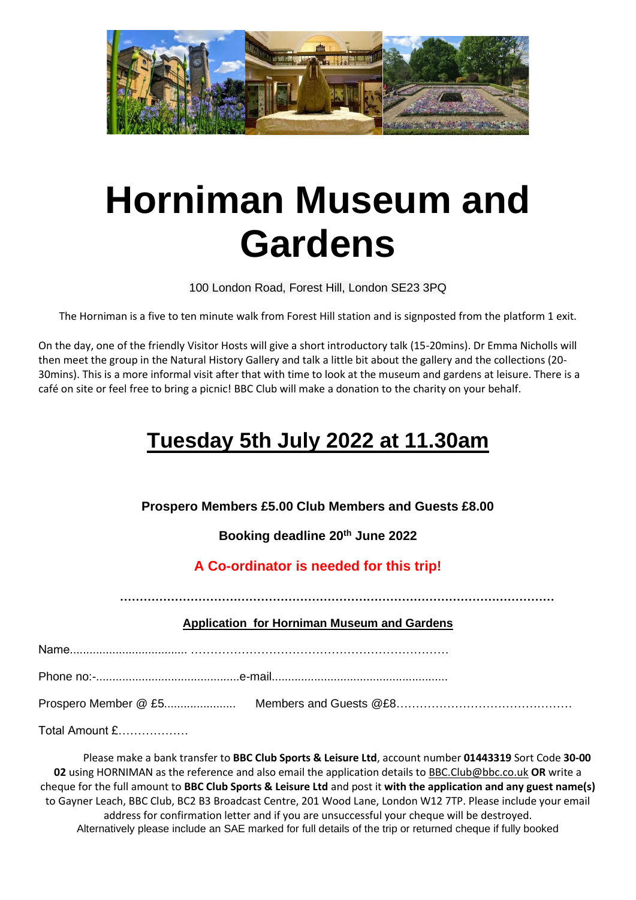

# **Horniman Museum and Gardens**

100 London Road, Forest Hill, London SE23 3PQ

The Horniman is a five to ten minute walk from Forest Hill station and is signposted from the platform 1 exit.

On the day, one of the friendly Visitor Hosts will give a short introductory talk (15-20mins). Dr Emma Nicholls will then meet the group in the Natural History Gallery and talk a little bit about the gallery and the collections (20- 30mins). This is a more informal visit after that with time to look at the museum and gardens at leisure. There is a café on site or feel free to bring a picnic! BBC Club will make a donation to the charity on your behalf.

## **Tuesday 5th July 2022 at 11.30am**

**Prospero Members £5.00 Club Members and Guests £8.00** 

**Booking deadline 20th June 2022**

#### **A Co-ordinator is needed for this trip!**

**…………………………………………………………………………………………………**

#### **Application for Horniman Museum and Gardens**

Name.................................... …………………………………………………………

Phone no:-............................................e-mail......................................................

Prospero Member @ £5...................... Members and Guests @£8………………………………………

Total Amount £………………

Please make a bank transfer to **BBC Club Sports & Leisure Ltd**, account number **01443319** Sort Code **30-00 02** using HORNIMAN as the reference and also email the application details to [BBC.Club@bbc.co.uk](mailto:BBC.Club@bbc.co.uk) **OR** write a cheque for the full amount to **BBC Club Sports & Leisure Ltd** and post it **with the application and any guest name(s)**  to Gayner Leach, BBC Club, BC2 B3 Broadcast Centre, 201 Wood Lane, London W12 7TP. Please include your email address for confirmation letter and if you are unsuccessful your cheque will be destroyed. Alternatively please include an SAE marked for full details of the trip or returned cheque if fully booked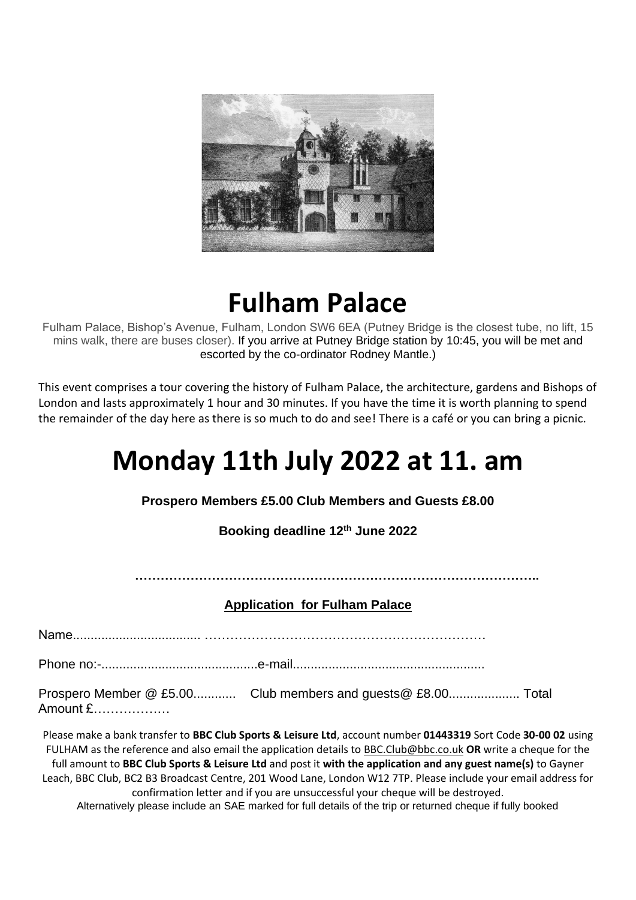

## **Fulham Palace**

Fulham Palace, Bishop's Avenue, Fulham, London SW6 6EA (Putney Bridge is the closest tube, no lift, 15 mins walk, there are buses closer). If you arrive at Putney Bridge station by 10:45, you will be met and escorted by the co-ordinator Rodney Mantle.)

This event comprises a tour covering the history of Fulham Palace, the architecture, gardens and Bishops of London and lasts approximately 1 hour and 30 minutes. If you have the time it is worth planning to spend the remainder of the day here as there is so much to do and see! There is a café or you can bring a picnic.

## **Monday 11th July 2022 at 11. am**

**Prospero Members £5.00 Club Members and Guests £8.00**

**Booking deadline 12th June 2022**

**…………………………………………………………………………………..**

**Application for Fulham Palace**

Name.................................... …………………………………………………………

Phone no:-............................................e-mail......................................................

Prospero Member @ £5.00............ Club members and guests@ £8.00.................... Total Amount £………………

Please make a bank transfer to **BBC Club Sports & Leisure Ltd**, account number **01443319** Sort Code **30-00 02** using FULHAM as the reference and also email the application details t[o BBC.Club@bbc.co.uk](mailto:BBC.Club@bbc.co.uk) **OR** write a cheque for the full amount to **BBC Club Sports & Leisure Ltd** and post it **with the application and any guest name(s)** to Gayner Leach, BBC Club, BC2 B3 Broadcast Centre, 201 Wood Lane, London W12 7TP. Please include your email address for confirmation letter and if you are unsuccessful your cheque will be destroyed. Alternatively please include an SAE marked for full details of the trip or returned cheque if fully booked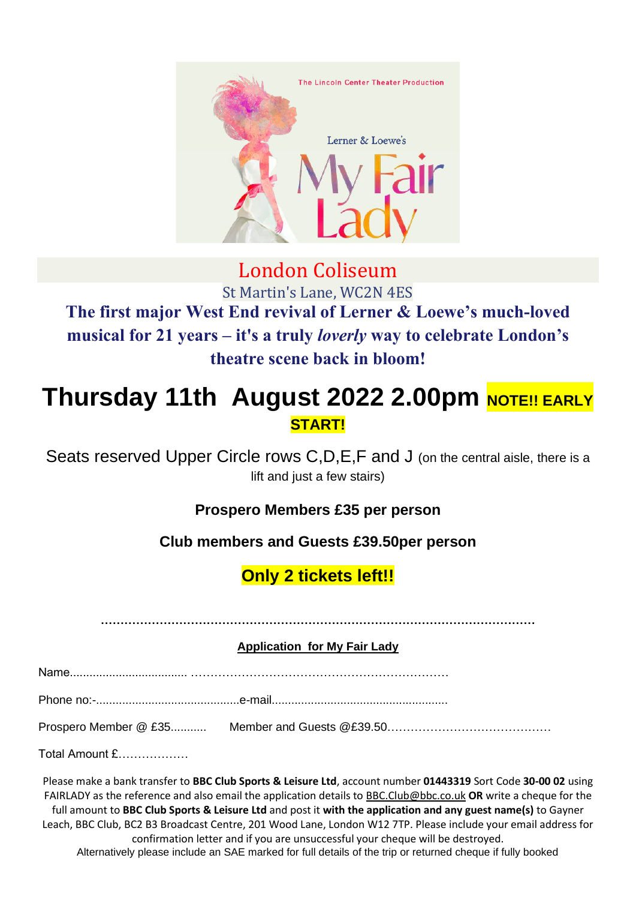

### London Coliseum St Martin's Lane, WC2N 4ES **The first major West End revival of Lerner & Loewe's much-loved musical for 21 years – it's a truly** *loverly* **way to celebrate London's theatre scene back in bloom!**

## **Thursday 11th August 2022 2.00pm NOTE!! EARLY START!**

Seats reserved Upper Circle rows C, D, E, F and J (on the central aisle, there is a lift and just a few stairs)

#### **Prospero Members £35 per person**

#### **Club members and Guests £39.50per person**

### **Only 2 tickets left!!**

**…………………………………………………………………………………………………**

#### **Application for My Fair Lady**

| Total Amount £ |  |
|----------------|--|

Please make a bank transfer to **BBC Club Sports & Leisure Ltd**, account number **01443319** Sort Code **30-00 02** using FAIRLADY as the reference and also email the application details t[o BBC.Club@bbc.co.uk](mailto:BBC.Club@bbc.co.uk) **OR** write a cheque for the full amount to **BBC Club Sports & Leisure Ltd** and post it **with the application and any guest name(s)** to Gayner Leach, BBC Club, BC2 B3 Broadcast Centre, 201 Wood Lane, London W12 7TP. Please include your email address for confirmation letter and if you are unsuccessful your cheque will be destroyed. Alternatively please include an SAE marked for full details of the trip or returned cheque if fully booked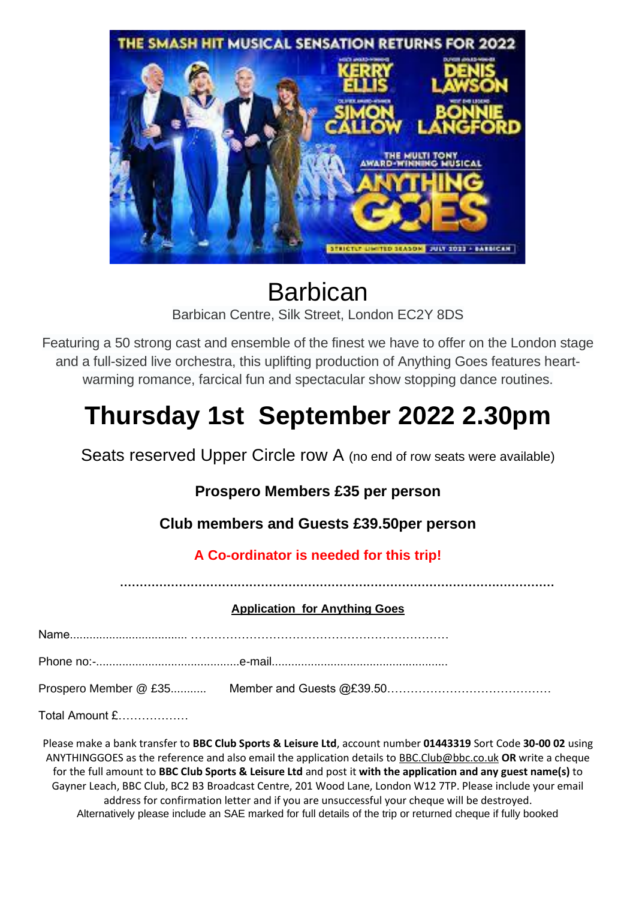

### Barbican Barbican Centre, Silk Street, London EC2Y 8DS

Featuring a 50 strong cast and ensemble of the finest we have to offer on the London stage and a full-sized live orchestra, this uplifting production of Anything Goes features heartwarming romance, farcical fun and spectacular show stopping dance routines.

## **Thursday 1st September 2022 2.30pm**

Seats reserved Upper Circle row A (no end of row seats were available)

#### **Prospero Members £35 per person**

**Club members and Guests £39.50per person**

#### **A Co-ordinator is needed for this trip!**

**…………………………………………………………………………………………………**

#### **Application for Anything Goes**

Total Amount £………………

Please make a bank transfer to **BBC Club Sports & Leisure Ltd**, account number **01443319** Sort Code **30-00 02** using ANYTHINGGOES as the reference and also email the application details t[o BBC.Club@bbc.co.uk](mailto:BBC.Club@bbc.co.uk) **OR** write a cheque for the full amount to **BBC Club Sports & Leisure Ltd** and post it **with the application and any guest name(s)** to Gayner Leach, BBC Club, BC2 B3 Broadcast Centre, 201 Wood Lane, London W12 7TP. Please include your email address for confirmation letter and if you are unsuccessful your cheque will be destroyed. Alternatively please include an SAE marked for full details of the trip or returned cheque if fully booked